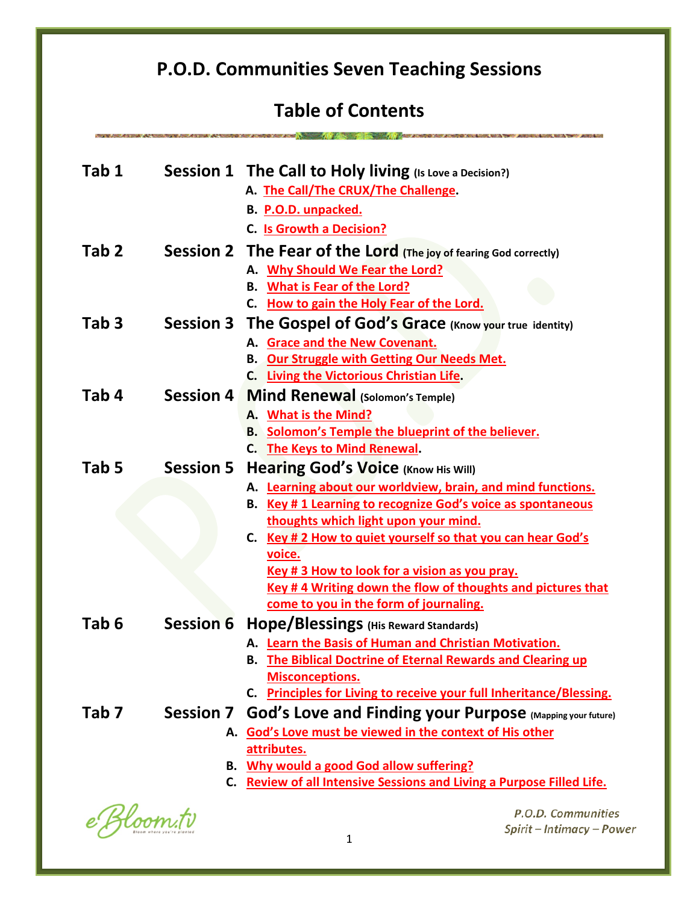# **P.O.D. Communities Seven Teaching Sessions**

# **Table of Contents**

| Tab 1            |                  | Session 1 The Call to Holy living (Is Love a Decision?)<br>A. The Call/The CRUX/The Challenge.<br>B. P.O.D. unpacked.<br>C. Is Growth a Decision?                                                                                                                                                                                                                                                                                          |
|------------------|------------------|--------------------------------------------------------------------------------------------------------------------------------------------------------------------------------------------------------------------------------------------------------------------------------------------------------------------------------------------------------------------------------------------------------------------------------------------|
| Tab <sub>2</sub> |                  | <b>Session 2 The Fear of the Lord</b> (The joy of fearing God correctly)<br>A. Why Should We Fear the Lord?<br><b>B.</b> What is Fear of the Lord?<br>C. How to gain the Holy Fear of the Lord.                                                                                                                                                                                                                                            |
| Tab <sub>3</sub> |                  | Session 3 The Gospel of God's Grace (Know your true identity)<br>A. Grace and the New Covenant.<br><b>B.</b> Our Struggle with Getting Our Needs Met.<br>C. Living the Victorious Christian Life.                                                                                                                                                                                                                                          |
| Tab 4            | Session 4        | <b>Mind Renewal (Solomon's Temple)</b><br>A. What is the Mind?<br><b>B.</b> Solomon's Temple the blueprint of the believer.<br>C. The Keys to Mind Renewal.                                                                                                                                                                                                                                                                                |
| Tab 5            | <b>Session 5</b> | Hearing God's Voice (Know His Will)<br>A. Learning about our worldview, brain, and mind functions.<br>B. Key #1 Learning to recognize God's voice as spontaneous<br>thoughts which light upon your mind.<br>C. Key # 2 How to quiet yourself so that you can hear God's<br>voice.<br>Key # 3 How to look for a vision as you pray.<br>Key #4 Writing down the flow of thoughts and pictures that<br>come to you in the form of journaling. |
| Tab <sub>6</sub> | <b>Session 6</b> | Hope/Blessings (His Reward Standards)<br>A. Learn the Basis of Human and Christian Motivation.<br><b>B.</b> The Biblical Doctrine of Eternal Rewards and Clearing up<br><b>Misconceptions.</b><br>C. Principles for Living to receive your full Inheritance/Blessing.                                                                                                                                                                      |
| Tab <sub>7</sub> | <b>Session 7</b> | God's Love and Finding your Purpose (Mapping your future)<br>A. God's Love must be viewed in the context of His other<br>attributes.<br><b>B.</b> Why would a good God allow suffering?<br>C. Review of all Intensive Sessions and Living a Purpose Filled Life.                                                                                                                                                                           |

e Bloom.tv

P.O.D. Communities Spirit - Intimacy - Power